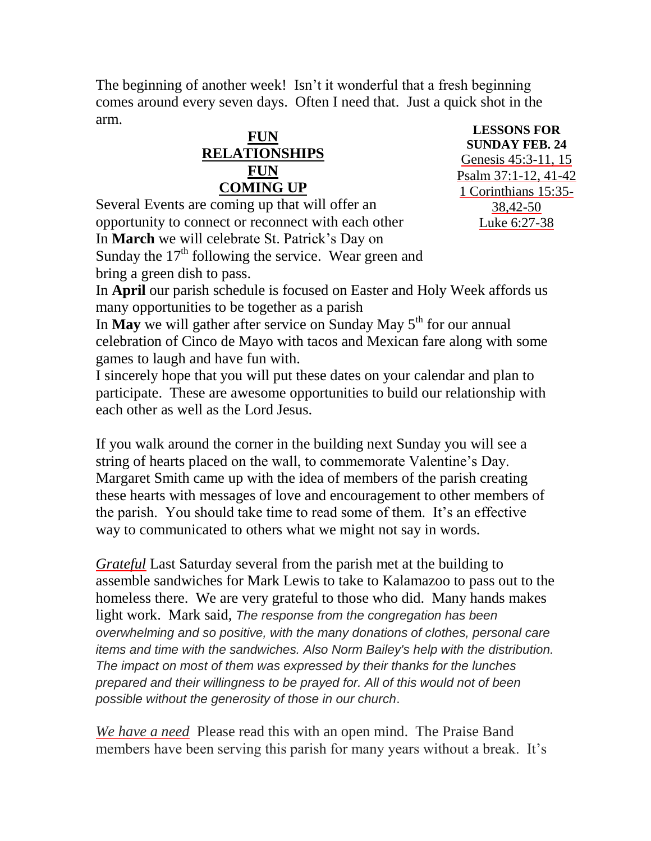The beginning of another week! Isn't it wonderful that a fresh beginning comes around every seven days. Often I need that. Just a quick shot in the arm.

## **FUN RELATIONSHIPS FUN COMING UP**

**LESSONS FOR SUNDAY FEB. 24** [Genesis 45:3-11, 15](http://www.lectionarypage.net/YearC_RCL/Epiphany/CEpi7_RCL.html#ot1) [Psalm 37:1-12, 41-42](http://www.lectionarypage.net/YearC_RCL/Epiphany/CEpi7_RCL.html#ps1) [1 Corinthians 15:35-](http://www.lectionarypage.net/YearC_RCL/Epiphany/CEpi7_RCL.html#nt1) [38,42-50](http://www.lectionarypage.net/YearC_RCL/Epiphany/CEpi7_RCL.html#nt1) [Luke 6:27-38](http://www.lectionarypage.net/YearC_RCL/Epiphany/CEpi7_RCL.html#gsp1)

Several Events are coming up that will offer an opportunity to connect or reconnect with each other In **March** we will celebrate St. Patrick's Day on Sunday the  $17<sup>th</sup>$  following the service. Wear green and bring a green dish to pass.

In **April** our parish schedule is focused on Easter and Holy Week affords us many opportunities to be together as a parish

In **May** we will gather after service on Sunday May  $5<sup>th</sup>$  for our annual celebration of Cinco de Mayo with tacos and Mexican fare along with some games to laugh and have fun with.

I sincerely hope that you will put these dates on your calendar and plan to participate. These are awesome opportunities to build our relationship with each other as well as the Lord Jesus.

If you walk around the corner in the building next Sunday you will see a string of hearts placed on the wall, to commemorate Valentine's Day. Margaret Smith came up with the idea of members of the parish creating these hearts with messages of love and encouragement to other members of the parish. You should take time to read some of them. It's an effective way to communicated to others what we might not say in words.

*Grateful* Last Saturday several from the parish met at the building to assemble sandwiches for Mark Lewis to take to Kalamazoo to pass out to the homeless there. We are very grateful to those who did. Many hands makes light work. Mark said, *The response from the congregation has been overwhelming and so positive, with the many donations of clothes, personal care items and time with the sandwiches. Also Norm Bailey's help with the distribution. The impact on most of them was expressed by their thanks for the lunches prepared and their willingness to be prayed for. All of this would not of been possible without the generosity of those in our church*.

*We have a need* Please read this with an open mind. The Praise Band members have been serving this parish for many years without a break. It's